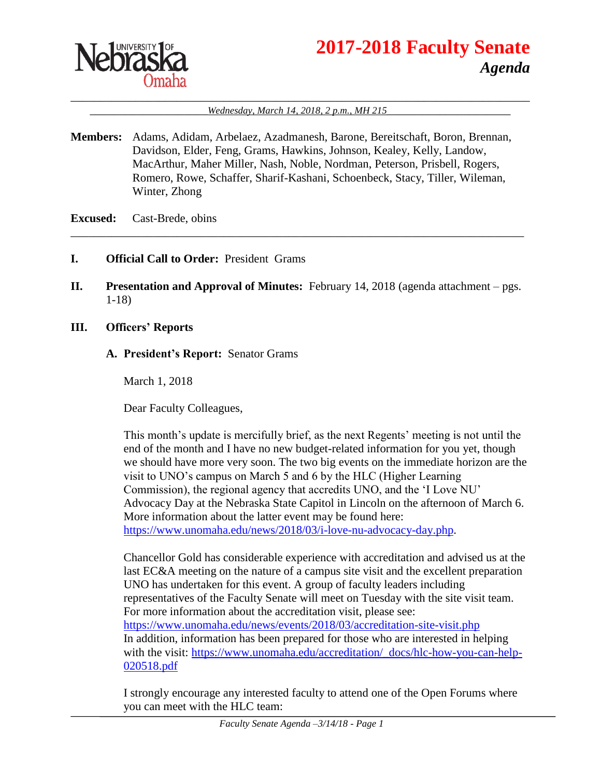

# **2017-2018 Faculty Senate** *Agenda*

#### \_\_\_\_\_\_\_\_\_\_\_\_\_\_\_\_\_\_\_\_\_\_\_\_\_\_\_\_\_\_\_\_\_\_\_\_\_\_\_\_\_\_\_\_\_\_\_\_\_\_\_\_\_\_\_\_\_\_\_\_\_\_\_\_\_\_\_\_\_\_\_\_\_\_\_\_\_\_ Wednesday, March 14, 2018, 2 p.m., MH 215

**Members:** Adams, Adidam, Arbelaez, Azadmanesh, Barone, Bereitschaft, Boron, Brennan, Davidson, Elder, Feng, Grams, Hawkins, Johnson, Kealey, Kelly, Landow, MacArthur, Maher Miller, Nash, Noble, Nordman, Peterson, Prisbell, Rogers, Romero, Rowe, Schaffer, Sharif-Kashani, Schoenbeck, Stacy, Tiller, Wileman, Winter, Zhong

#### **Excused:** Cast-Brede, obins

- **I. Official Call to Order:** President Grams
- **II. Presentation and Approval of Minutes:** February 14, 2018 (agenda attachment pgs. 1-18)

\_\_\_\_\_\_\_\_\_\_\_\_\_\_\_\_\_\_\_\_\_\_\_\_\_\_\_\_\_\_\_\_\_\_\_\_\_\_\_\_\_\_\_\_\_\_\_\_\_\_\_\_\_\_\_\_\_\_\_\_\_\_\_\_\_\_\_\_\_\_\_\_\_\_\_\_\_

**III. Officers' Reports**

#### **A. President's Report:** Senator Grams

March 1, 2018

Dear Faculty Colleagues,

This month's update is mercifully brief, as the next Regents' meeting is not until the end of the month and I have no new budget-related information for you yet, though we should have more very soon. The two big events on the immediate horizon are the visit to UNO's campus on March 5 and 6 by the HLC (Higher Learning Commission), the regional agency that accredits UNO, and the 'I Love NU' Advocacy Day at the Nebraska State Capitol in Lincoln on the afternoon of March 6. More information about the latter event may be found here: [https://www.unomaha.edu/news/2018/03/i-love-nu-advocacy-day.php.](https://www.unomaha.edu/news/2018/03/i-love-nu-advocacy-day.php)

Chancellor Gold has considerable experience with accreditation and advised us at the last EC&A meeting on the nature of a campus site visit and the excellent preparation UNO has undertaken for this event. A group of faculty leaders including representatives of the Faculty Senate will meet on Tuesday with the site visit team. For more information about the accreditation visit, please see: <https://www.unomaha.edu/news/events/2018/03/accreditation-site-visit.php> In addition, information has been prepared for those who are interested in helping with the visit: [https://www.unomaha.edu/accreditation/\\_docs/hlc-how-you-can-help-](https://www.unomaha.edu/accreditation/_docs/hlc-how-you-can-help-020518.pdf)[020518.pdf](https://www.unomaha.edu/accreditation/_docs/hlc-how-you-can-help-020518.pdf)

I strongly encourage any interested faculty to attend one of the Open Forums where you can meet with the HLC team: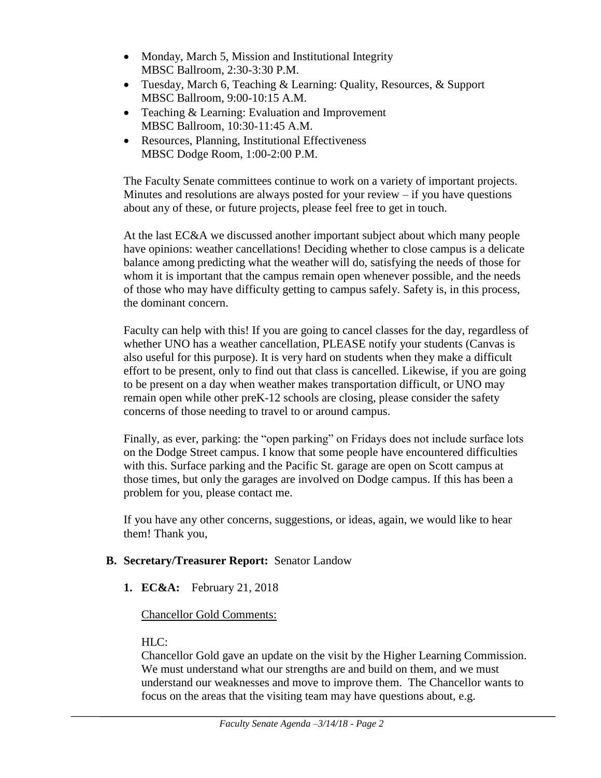- Monday, March 5, Mission and Institutional Integrity MBSC Ballroom, 2:30-3:30 P.M.
- Tuesday, March 6, Teaching & Learning: Quality, Resources, & Support MBSC Ballroom, 9:00-10:15 A.M.
- Teaching & Learning: Evaluation and Improvement MBSC Ballroom, 10:30-11:45 A.M.
- Resources, Planning, Institutional Effectiveness MBSC Dodge Room, 1:00-2:00 P.M.

The Faculty Senate committees continue to work on a variety of important projects. Minutes and resolutions are always posted for your review – if you have questions about any of these, or future projects, please feel free to get in touch.

At the last EC&A we discussed another important subject about which many people have opinions: weather cancellations! Deciding whether to close campus is a delicate balance among predicting what the weather will do, satisfying the needs of those for whom it is important that the campus remain open whenever possible, and the needs of those who may have difficulty getting to campus safely. Safety is, in this process, the dominant concern.

Faculty can help with this! If you are going to cancel classes for the day, regardless of whether UNO has a weather cancellation, PLEASE notify your students (Canvas is also useful for this purpose). It is very hard on students when they make a difficult effort to be present, only to find out that class is cancelled. Likewise, if you are going to be present on a day when weather makes transportation difficult, or UNO may remain open while other preK-12 schools are closing, please consider the safety concerns of those needing to travel to or around campus.

Finally, as ever, parking: the "open parking" on Fridays does not include surface lots on the Dodge Street campus. I know that some people have encountered difficulties with this. Surface parking and the Pacific St. garage are open on Scott campus at those times, but only the garages are involved on Dodge campus. If this has been a problem for you, please contact me.

If you have any other concerns, suggestions, or ideas, again, we would like to hear them! Thank you,

### **B. Secretary/Treasurer Report:** Senator Landow

**1. EC&A:** February 21, 2018

### Chancellor Gold Comments:

# HLC:

Chancellor Gold gave an update on the visit by the Higher Learning Commission. We must understand what our strengths are and build on them, and we must understand our weaknesses and move to improve them. The Chancellor wants to focus on the areas that the visiting team may have questions about, e.g.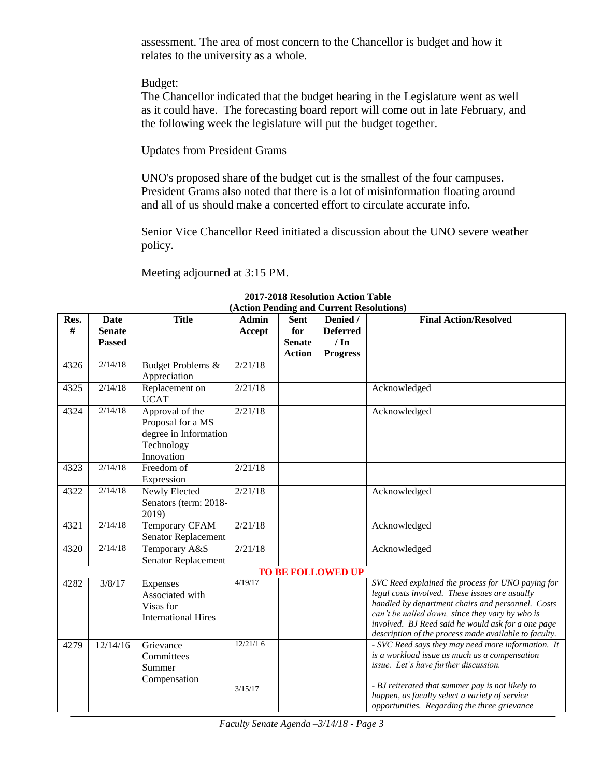assessment. The area of most concern to the Chancellor is budget and how it relates to the university as a whole.

#### Budget:

The Chancellor indicated that the budget hearing in the Legislature went as well as it could have. The forecasting board report will come out in late February, and the following week the legislature will put the budget together.

#### Updates from President Grams

UNO's proposed share of the budget cut is the smallest of the four campuses. President Grams also noted that there is a lot of misinformation floating around and all of us should make a concerted effort to circulate accurate info.

Senior Vice Chancellor Reed initiated a discussion about the UNO severe weather policy.

Meeting adjourned at 3:15 PM.

| Res.                     | Date          | $(A\cup B)$ is changed to call the resolutions $\ell$<br><b>Title</b><br><b>Final Action/Resolved</b><br>Denied /<br><b>Admin</b> |          |               |                 |                                                                                                     |
|--------------------------|---------------|-----------------------------------------------------------------------------------------------------------------------------------|----------|---------------|-----------------|-----------------------------------------------------------------------------------------------------|
| #                        |               |                                                                                                                                   |          | Sent          |                 |                                                                                                     |
|                          | <b>Senate</b> |                                                                                                                                   | Accept   | for           | <b>Deferred</b> |                                                                                                     |
|                          | <b>Passed</b> |                                                                                                                                   |          | <b>Senate</b> | $/ \ln$         |                                                                                                     |
|                          |               |                                                                                                                                   |          | <b>Action</b> | <b>Progress</b> |                                                                                                     |
| 4326                     | 2/14/18       | Budget Problems &                                                                                                                 | 2/21/18  |               |                 |                                                                                                     |
|                          |               | Appreciation                                                                                                                      |          |               |                 |                                                                                                     |
| 4325                     | 2/14/18       | Replacement on                                                                                                                    | 2/21/18  |               |                 | Acknowledged                                                                                        |
|                          |               | <b>UCAT</b>                                                                                                                       |          |               |                 |                                                                                                     |
| 4324                     | 2/14/18       | Approval of the                                                                                                                   | 2/21/18  |               |                 | Acknowledged                                                                                        |
|                          |               | Proposal for a MS                                                                                                                 |          |               |                 |                                                                                                     |
|                          |               | degree in Information                                                                                                             |          |               |                 |                                                                                                     |
|                          |               | Technology                                                                                                                        |          |               |                 |                                                                                                     |
|                          |               | Innovation                                                                                                                        |          |               |                 |                                                                                                     |
| 4323                     | 2/14/18       | Freedom of                                                                                                                        | 2/21/18  |               |                 |                                                                                                     |
|                          |               | Expression                                                                                                                        |          |               |                 |                                                                                                     |
| 4322                     | 2/14/18       | Newly Elected                                                                                                                     | 2/21/18  |               |                 | Acknowledged                                                                                        |
|                          |               | Senators (term: 2018-                                                                                                             |          |               |                 |                                                                                                     |
|                          |               | 2019)                                                                                                                             |          |               |                 |                                                                                                     |
| 4321                     | 2/14/18       | <b>Temporary CFAM</b>                                                                                                             | 2/21/18  |               |                 | Acknowledged                                                                                        |
|                          |               | Senator Replacement                                                                                                               |          |               |                 |                                                                                                     |
| 4320                     | 2/14/18       | Temporary A&S                                                                                                                     | 2/21/18  |               |                 | Acknowledged                                                                                        |
|                          |               | Senator Replacement                                                                                                               |          |               |                 |                                                                                                     |
| <b>TO BE FOLLOWED UP</b> |               |                                                                                                                                   |          |               |                 |                                                                                                     |
| 4282                     | 3/8/17        | Expenses                                                                                                                          | 4/19/17  |               |                 | SVC Reed explained the process for UNO paying for                                                   |
|                          |               | Associated with                                                                                                                   |          |               |                 | legal costs involved. These issues are usually                                                      |
|                          |               | Visas for                                                                                                                         |          |               |                 | handled by department chairs and personnel. Costs                                                   |
|                          |               | <b>International Hires</b>                                                                                                        |          |               |                 | can't be nailed down, since they vary by who is                                                     |
|                          |               |                                                                                                                                   |          |               |                 | involved. BJ Reed said he would ask for a one page                                                  |
|                          |               |                                                                                                                                   | 12/21/16 |               |                 | description of the process made available to faculty.                                               |
| 4279                     | 12/14/16      | Grievance                                                                                                                         |          |               |                 | - SVC Reed says they may need more information. It<br>is a workload issue as much as a compensation |
|                          |               | Committees                                                                                                                        |          |               |                 | issue. Let's have further discussion.                                                               |
|                          |               | Summer                                                                                                                            |          |               |                 |                                                                                                     |
|                          |               | Compensation                                                                                                                      |          |               |                 | - BJ reiterated that summer pay is not likely to                                                    |
|                          |               |                                                                                                                                   | 3/15/17  |               |                 | happen, as faculty select a variety of service                                                      |
|                          |               |                                                                                                                                   |          |               |                 | opportunities. Regarding the three grievance                                                        |

**2017-2018 Resolution Action Table (Action Pending and Current Resolutions)**

*Faculty Senate Agenda –3/14/18 - Page 3*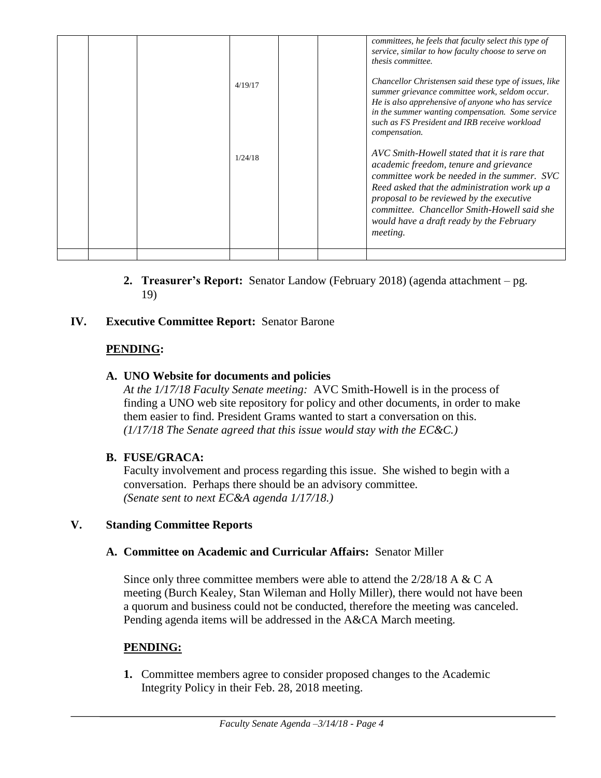| compensation.              | He is also apprehensive of anyone who has service<br>in the summer wanting compensation. Some service<br>such as FS President and IRB receive workload                                                                                                                                                                       |
|----------------------------|------------------------------------------------------------------------------------------------------------------------------------------------------------------------------------------------------------------------------------------------------------------------------------------------------------------------------|
| 1/24/18<br><i>meeting.</i> | AVC Smith-Howell stated that it is rare that<br>academic freedom, tenure and grievance<br>committee work be needed in the summer. SVC<br>Reed asked that the administration work up a<br>proposal to be reviewed by the executive<br>committee. Chancellor Smith-Howell said she<br>would have a draft ready by the February |

**2. Treasurer's Report:** Senator Landow (February 2018) (agenda attachment – pg. 19)

### **IV. Executive Committee Report:** Senator Barone

#### **PENDING:**

#### **A. UNO Website for documents and policies**

*At the 1/17/18 Faculty Senate meeting:* AVC Smith-Howell is in the process of finding a UNO web site repository for policy and other documents, in order to make them easier to find. President Grams wanted to start a conversation on this. *(1/17/18 The Senate agreed that this issue would stay with the EC&C.)*

#### **B. FUSE/GRACA:**

Faculty involvement and process regarding this issue. She wished to begin with a conversation. Perhaps there should be an advisory committee. *(Senate sent to next EC&A agenda 1/17/18.)*

#### **V. Standing Committee Reports**

#### **A. Committee on Academic and Curricular Affairs:** Senator Miller

Since only three committee members were able to attend the  $2/28/18$  A & C A meeting (Burch Kealey, Stan Wileman and Holly Miller), there would not have been a quorum and business could not be conducted, therefore the meeting was canceled. Pending agenda items will be addressed in the A&CA March meeting.

#### **PENDING:**

**1.** Committee members agree to consider proposed changes to the Academic Integrity Policy in their Feb. 28, 2018 meeting.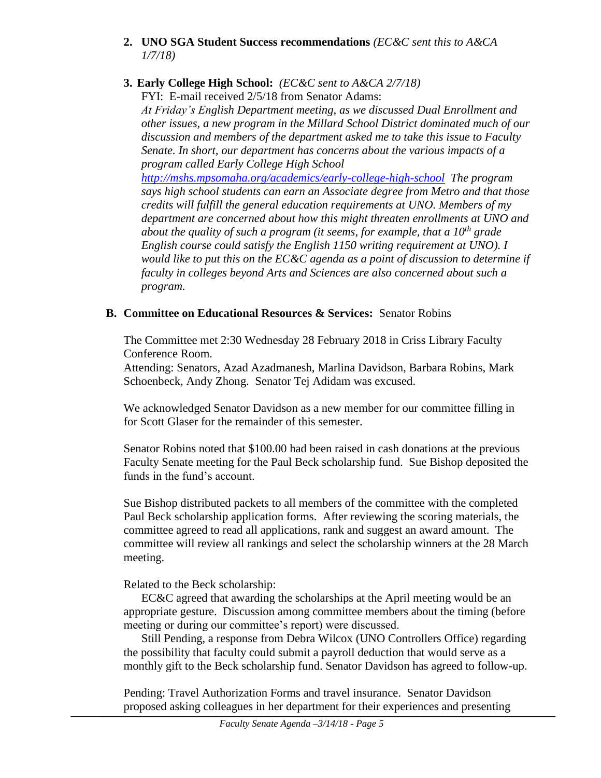- **2. UNO SGA Student Success recommendations** *(EC&C sent this to A&CA 1/7/18)*
- **3. Early College High School:** *(EC&C sent to A&CA 2/7/18)*

FYI: E-mail received 2/5/18 from Senator Adams: *At Friday's English Department meeting, as we discussed Dual Enrollment and other issues, a new program in the Millard School District dominated much of our discussion and members of the department asked me to take this issue to Faculty Senate. In short, our department has concerns about the various impacts of a program called Early College High School <http://mshs.mpsomaha.org/academics/early-college-high-school> The program says high school students can earn an Associate degree from Metro and that those credits will fulfill the general education requirements at UNO. Members of my department are concerned about how this might threaten enrollments at UNO and about the quality of such a program (it seems, for example, that a 10th grade English course could satisfy the English 1150 writing requirement at UNO). I would like to put this on the EC&C agenda as a point of discussion to determine if faculty in colleges beyond Arts and Sciences are also concerned about such a program.*

## **B. Committee on Educational Resources & Services:** Senator Robins

The Committee met 2:30 Wednesday 28 February 2018 in Criss Library Faculty Conference Room.

Attending: Senators, Azad Azadmanesh, Marlina Davidson, Barbara Robins, Mark Schoenbeck, Andy Zhong. Senator Tej Adidam was excused.

We acknowledged Senator Davidson as a new member for our committee filling in for Scott Glaser for the remainder of this semester.

Senator Robins noted that \$100.00 had been raised in cash donations at the previous Faculty Senate meeting for the Paul Beck scholarship fund. Sue Bishop deposited the funds in the fund's account.

Sue Bishop distributed packets to all members of the committee with the completed Paul Beck scholarship application forms. After reviewing the scoring materials, the committee agreed to read all applications, rank and suggest an award amount. The committee will review all rankings and select the scholarship winners at the 28 March meeting.

Related to the Beck scholarship:

EC&C agreed that awarding the scholarships at the April meeting would be an appropriate gesture. Discussion among committee members about the timing (before meeting or during our committee's report) were discussed.

Still Pending, a response from Debra Wilcox (UNO Controllers Office) regarding the possibility that faculty could submit a payroll deduction that would serve as a monthly gift to the Beck scholarship fund. Senator Davidson has agreed to follow-up.

Pending: Travel Authorization Forms and travel insurance. Senator Davidson proposed asking colleagues in her department for their experiences and presenting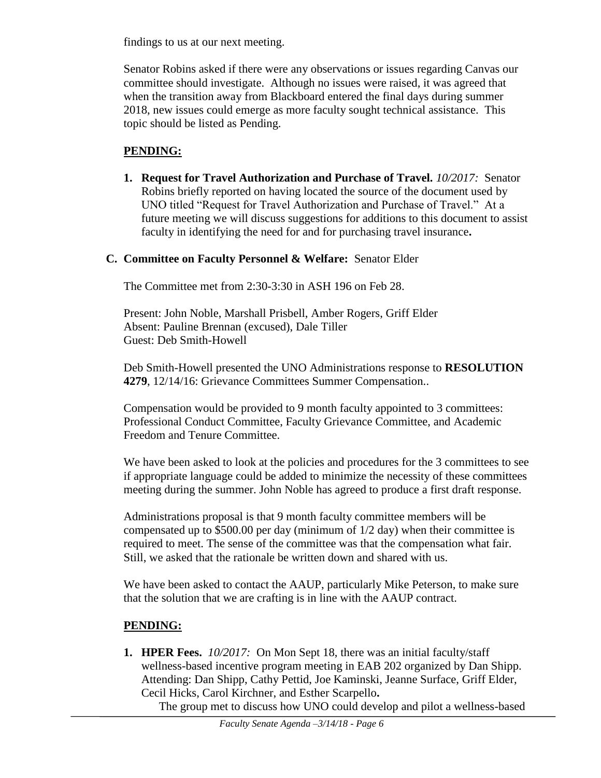findings to us at our next meeting.

Senator Robins asked if there were any observations or issues regarding Canvas our committee should investigate. Although no issues were raised, it was agreed that when the transition away from Blackboard entered the final days during summer 2018, new issues could emerge as more faculty sought technical assistance. This topic should be listed as Pending.

# **PENDING:**

**1. Request for Travel Authorization and Purchase of Travel.** *10/2017:* Senator Robins briefly reported on having located the source of the document used by UNO titled "Request for Travel Authorization and Purchase of Travel." At a future meeting we will discuss suggestions for additions to this document to assist faculty in identifying the need for and for purchasing travel insurance**.**

#### **C. Committee on Faculty Personnel & Welfare:** Senator Elder

The Committee met from 2:30-3:30 in ASH 196 on Feb 28.

Present: John Noble, Marshall Prisbell, Amber Rogers, Griff Elder Absent: Pauline Brennan (excused), Dale Tiller Guest: Deb Smith-Howell

Deb Smith-Howell presented the UNO Administrations response to **RESOLUTION 4279**, 12/14/16: Grievance Committees Summer Compensation..

Compensation would be provided to 9 month faculty appointed to 3 committees: Professional Conduct Committee, Faculty Grievance Committee, and Academic Freedom and Tenure Committee.

We have been asked to look at the policies and procedures for the 3 committees to see if appropriate language could be added to minimize the necessity of these committees meeting during the summer. John Noble has agreed to produce a first draft response.

Administrations proposal is that 9 month faculty committee members will be compensated up to \$500.00 per day (minimum of 1/2 day) when their committee is required to meet. The sense of the committee was that the compensation what fair. Still, we asked that the rationale be written down and shared with us.

We have been asked to contact the AAUP, particularly Mike Peterson, to make sure that the solution that we are crafting is in line with the AAUP contract.

# **PENDING:**

**1. HPER Fees.** *10/2017:*On Mon Sept 18, there was an initial faculty/staff wellness-based incentive program meeting in EAB 202 organized by Dan Shipp. Attending: Dan Shipp, Cathy Pettid, Joe Kaminski, Jeanne Surface, Griff Elder, Cecil Hicks, Carol Kirchner, and Esther Scarpello**.**

The group met to discuss how UNO could develop and pilot a wellness-based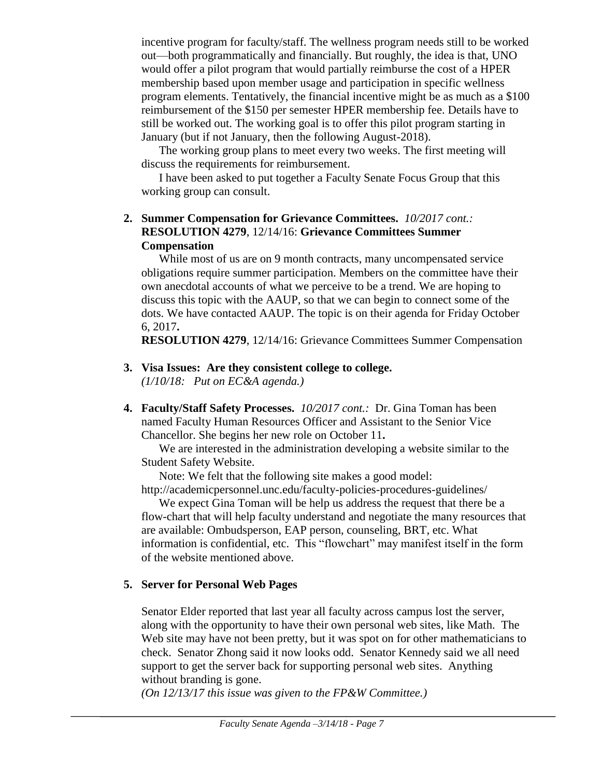incentive program for faculty/staff. The wellness program needs still to be worked out—both programmatically and financially. But roughly, the idea is that, UNO would offer a pilot program that would partially reimburse the cost of a HPER membership based upon member usage and participation in specific wellness program elements. Tentatively, the financial incentive might be as much as a \$100 reimbursement of the \$150 per semester HPER membership fee. Details have to still be worked out. The working goal is to offer this pilot program starting in January (but if not January, then the following August-2018).

The working group plans to meet every two weeks. The first meeting will discuss the requirements for reimbursement.

I have been asked to put together a Faculty Senate Focus Group that this working group can consult.

#### **2. Summer Compensation for Grievance Committees.** *10/2017 cont.:* **RESOLUTION 4279**, 12/14/16: **Grievance Committees Summer Compensation**

While most of us are on 9 month contracts, many uncompensated service obligations require summer participation. Members on the committee have their own anecdotal accounts of what we perceive to be a trend. We are hoping to discuss this topic with the AAUP, so that we can begin to connect some of the dots. We have contacted AAUP. The topic is on their agenda for Friday October 6, 2017**.**

**RESOLUTION 4279**, 12/14/16: Grievance Committees Summer Compensation

- **3. Visa Issues: Are they consistent college to college.** *(1/10/18: Put on EC&A agenda.)*
- **4. Faculty/Staff Safety Processes.** *10/2017 cont.:* Dr. Gina Toman has been named Faculty Human Resources Officer and Assistant to the Senior Vice Chancellor. She begins her new role on October 11**.**

We are interested in the administration developing a website similar to the Student Safety Website.

Note: We felt that the following site makes a good model: http://academicpersonnel.unc.edu/faculty-policies-procedures-guidelines/

We expect Gina Toman will be help us address the request that there be a flow-chart that will help faculty understand and negotiate the many resources that are available: Ombudsperson, EAP person, counseling, BRT, etc. What information is confidential, etc. This "flowchart" may manifest itself in the form of the website mentioned above.

### **5. Server for Personal Web Pages**

Senator Elder reported that last year all faculty across campus lost the server, along with the opportunity to have their own personal web sites, like Math. The Web site may have not been pretty, but it was spot on for other mathematicians to check. Senator Zhong said it now looks odd. Senator Kennedy said we all need support to get the server back for supporting personal web sites. Anything without branding is gone.

*(On 12/13/17 this issue was given to the FP&W Committee.)*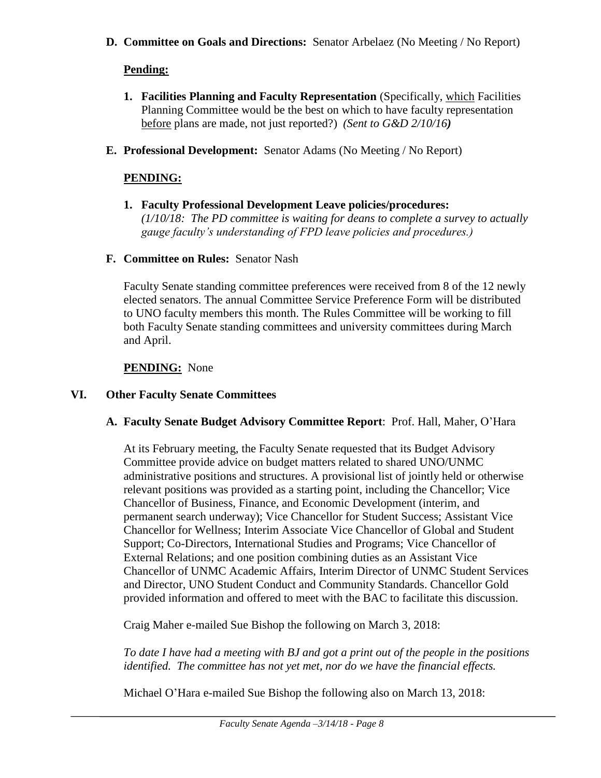**D. Committee on Goals and Directions:** Senator Arbelaez (No Meeting / No Report)

# **Pending:**

- **1. Facilities Planning and Faculty Representation** (Specifically, which Facilities Planning Committee would be the best on which to have faculty representation before plans are made, not just reported?) *(Sent to G&D 2/10/16)*
- **E. Professional Development:** Senator Adams (No Meeting / No Report)

# **PENDING:**

- **1. Faculty Professional Development Leave policies/procedures:**  *(1/10/18: The PD committee is waiting for deans to complete a survey to actually gauge faculty's understanding of FPD leave policies and procedures.)*
- **F. Committee on Rules:** Senator Nash

Faculty Senate standing committee preferences were received from 8 of the 12 newly elected senators. The annual Committee Service Preference Form will be distributed to UNO faculty members this month. The Rules Committee will be working to fill both Faculty Senate standing committees and university committees during March and April.

# **PENDING:** None

# **VI. Other Faculty Senate Committees**

### **A. Faculty Senate Budget Advisory Committee Report**: Prof. Hall, Maher, O'Hara

At its February meeting, the Faculty Senate requested that its Budget Advisory Committee provide advice on budget matters related to shared UNO/UNMC administrative positions and structures. A provisional list of jointly held or otherwise relevant positions was provided as a starting point, including the Chancellor; Vice Chancellor of Business, Finance, and Economic Development (interim, and permanent search underway); Vice Chancellor for Student Success; Assistant Vice Chancellor for Wellness; Interim Associate Vice Chancellor of Global and Student Support; Co-Directors, International Studies and Programs; Vice Chancellor of External Relations; and one position combining duties as an Assistant Vice Chancellor of UNMC Academic Affairs, Interim Director of UNMC Student Services and Director, UNO Student Conduct and Community Standards. Chancellor Gold provided information and offered to meet with the BAC to facilitate this discussion.

Craig Maher e-mailed Sue Bishop the following on March 3, 2018:

*To date I have had a meeting with BJ and got a print out of the people in the positions identified. The committee has not yet met, nor do we have the financial effects.*

Michael O'Hara e-mailed Sue Bishop the following also on March 13, 2018: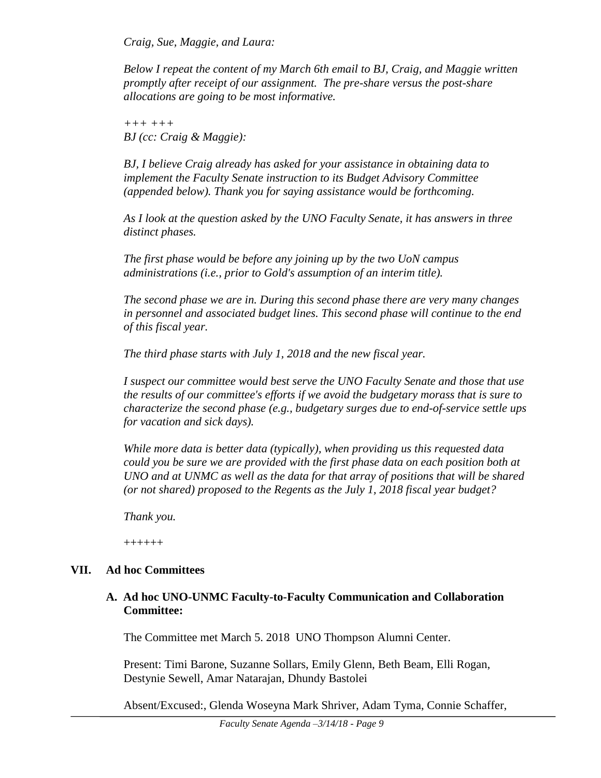*Craig, Sue, Maggie, and Laura:*

*Below I repeat the content of my March 6th email to BJ, Craig, and Maggie written promptly after receipt of our assignment. The pre-share versus the post-share allocations are going to be most informative.*

*+++ +++ BJ (cc: Craig & Maggie):*

*BJ, I believe Craig already has asked for your assistance in obtaining data to implement the Faculty Senate instruction to its Budget Advisory Committee (appended below). Thank you for saying assistance would be forthcoming.*

*As I look at the question asked by the UNO Faculty Senate, it has answers in three distinct phases.* 

*The first phase would be before any joining up by the two UoN campus administrations (i.e., prior to Gold's assumption of an interim title).* 

*The second phase we are in. During this second phase there are very many changes in personnel and associated budget lines. This second phase will continue to the end of this fiscal year.* 

*The third phase starts with July 1, 2018 and the new fiscal year.*

*I suspect our committee would best serve the UNO Faculty Senate and those that use the results of our committee's efforts if we avoid the budgetary morass that is sure to characterize the second phase (e.g., budgetary surges due to end-of-service settle ups for vacation and sick days).*

*While more data is better data (typically), when providing us this requested data could you be sure we are provided with the first phase data on each position both at UNO and at UNMC as well as the data for that array of positions that will be shared (or not shared) proposed to the Regents as the July 1, 2018 fiscal year budget?*

*Thank you.*

++++++

#### **VII. Ad hoc Committees**

#### **A. Ad hoc UNO-UNMC Faculty-to-Faculty Communication and Collaboration Committee:**

The Committee met March 5. 2018 UNO Thompson Alumni Center.

Present: Timi Barone, Suzanne Sollars, Emily Glenn, Beth Beam, Elli Rogan, Destynie Sewell, Amar Natarajan, Dhundy Bastolei

Absent/Excused:, Glenda Woseyna Mark Shriver, Adam Tyma, Connie Schaffer,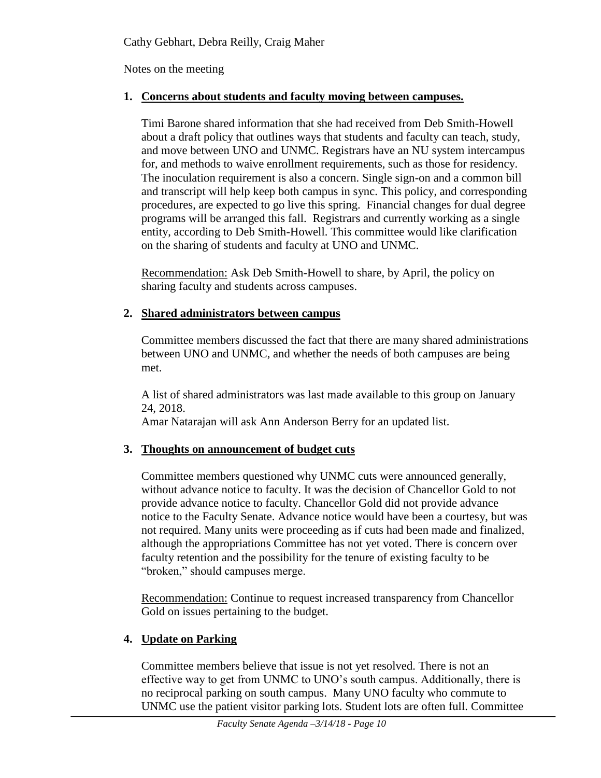Notes on the meeting

# **1. Concerns about students and faculty moving between campuses.**

Timi Barone shared information that she had received from Deb Smith-Howell about a draft policy that outlines ways that students and faculty can teach, study, and move between UNO and UNMC. Registrars have an NU system intercampus for, and methods to waive enrollment requirements, such as those for residency. The inoculation requirement is also a concern. Single sign-on and a common bill and transcript will help keep both campus in sync. This policy, and corresponding procedures, are expected to go live this spring. Financial changes for dual degree programs will be arranged this fall. Registrars and currently working as a single entity, according to Deb Smith-Howell. This committee would like clarification on the sharing of students and faculty at UNO and UNMC.

Recommendation: Ask Deb Smith-Howell to share, by April, the policy on sharing faculty and students across campuses.

# **2. Shared administrators between campus**

Committee members discussed the fact that there are many shared administrations between UNO and UNMC, and whether the needs of both campuses are being met.

A list of shared administrators was last made available to this group on January 24, 2018.

Amar Natarajan will ask Ann Anderson Berry for an updated list.

# **3. Thoughts on announcement of budget cuts**

Committee members questioned why UNMC cuts were announced generally, without advance notice to faculty. It was the decision of Chancellor Gold to not provide advance notice to faculty. Chancellor Gold did not provide advance notice to the Faculty Senate. Advance notice would have been a courtesy, but was not required. Many units were proceeding as if cuts had been made and finalized, although the appropriations Committee has not yet voted. There is concern over faculty retention and the possibility for the tenure of existing faculty to be "broken," should campuses merge.

Recommendation: Continue to request increased transparency from Chancellor Gold on issues pertaining to the budget.

# **4. Update on Parking**

Committee members believe that issue is not yet resolved. There is not an effective way to get from UNMC to UNO's south campus. Additionally, there is no reciprocal parking on south campus. Many UNO faculty who commute to UNMC use the patient visitor parking lots. Student lots are often full. Committee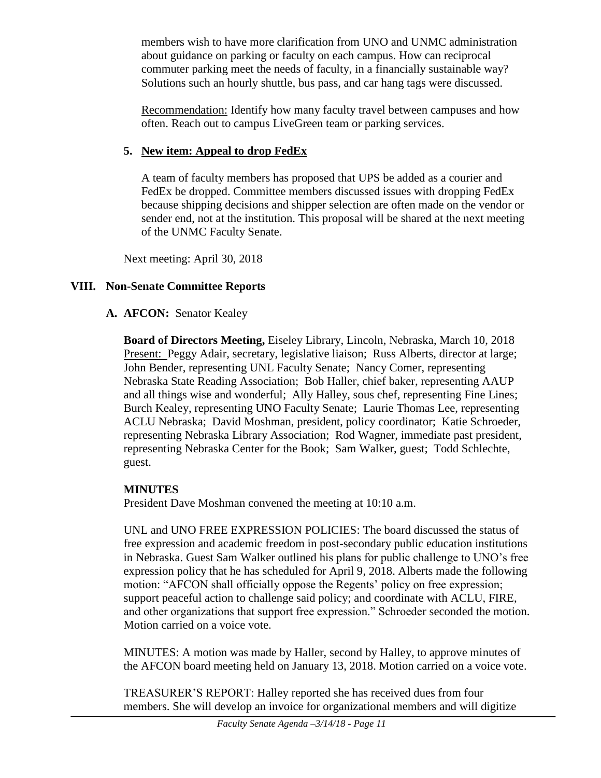members wish to have more clarification from UNO and UNMC administration about guidance on parking or faculty on each campus. How can reciprocal commuter parking meet the needs of faculty, in a financially sustainable way? Solutions such an hourly shuttle, bus pass, and car hang tags were discussed.

Recommendation: Identify how many faculty travel between campuses and how often. Reach out to campus LiveGreen team or parking services.

### **5. New item: Appeal to drop FedEx**

A team of faculty members has proposed that UPS be added as a courier and FedEx be dropped. Committee members discussed issues with dropping FedEx because shipping decisions and shipper selection are often made on the vendor or sender end, not at the institution. This proposal will be shared at the next meeting of the UNMC Faculty Senate.

Next meeting: April 30, 2018

# **VIII. Non-Senate Committee Reports**

# **A. AFCON:** Senator Kealey

**Board of Directors Meeting,** Eiseley Library, Lincoln, Nebraska, March 10, 2018 Present: Peggy Adair, secretary, legislative liaison; Russ Alberts, director at large; John Bender, representing UNL Faculty Senate; Nancy Comer, representing Nebraska State Reading Association; Bob Haller, chief baker, representing AAUP and all things wise and wonderful; Ally Halley, sous chef, representing Fine Lines; Burch Kealey, representing UNO Faculty Senate; Laurie Thomas Lee, representing ACLU Nebraska; David Moshman, president, policy coordinator; Katie Schroeder, representing Nebraska Library Association; Rod Wagner, immediate past president, representing Nebraska Center for the Book; Sam Walker, guest; Todd Schlechte, guest.

# **MINUTES**

President Dave Moshman convened the meeting at 10:10 a.m.

UNL and UNO FREE EXPRESSION POLICIES: The board discussed the status of free expression and academic freedom in post-secondary public education institutions in Nebraska. Guest Sam Walker outlined his plans for public challenge to UNO's free expression policy that he has scheduled for April 9, 2018. Alberts made the following motion: "AFCON shall officially oppose the Regents' policy on free expression; support peaceful action to challenge said policy; and coordinate with ACLU, FIRE, and other organizations that support free expression." Schroeder seconded the motion. Motion carried on a voice vote.

MINUTES: A motion was made by Haller, second by Halley, to approve minutes of the AFCON board meeting held on January 13, 2018. Motion carried on a voice vote.

TREASURER'S REPORT: Halley reported she has received dues from four members. She will develop an invoice for organizational members and will digitize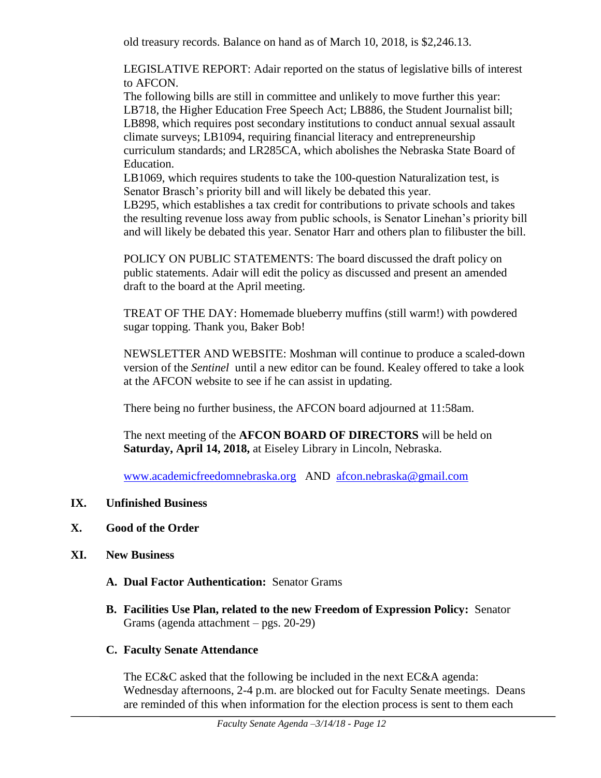old treasury records. Balance on hand as of March 10, 2018, is \$2,246.13.

LEGISLATIVE REPORT: Adair reported on the status of legislative bills of interest to AFCON.

The following bills are still in committee and unlikely to move further this year: LB718, the Higher Education Free Speech Act; LB886, the Student Journalist bill; LB898, which requires post secondary institutions to conduct annual sexual assault climate surveys; LB1094, requiring financial literacy and entrepreneurship curriculum standards; and LR285CA, which abolishes the Nebraska State Board of Education.

LB1069, which requires students to take the 100-question Naturalization test, is Senator Brasch's priority bill and will likely be debated this year.

LB295, which establishes a tax credit for contributions to private schools and takes the resulting revenue loss away from public schools, is Senator Linehan's priority bill and will likely be debated this year. Senator Harr and others plan to filibuster the bill.

POLICY ON PUBLIC STATEMENTS: The board discussed the draft policy on public statements. Adair will edit the policy as discussed and present an amended draft to the board at the April meeting.

TREAT OF THE DAY: Homemade blueberry muffins (still warm!) with powdered sugar topping. Thank you, Baker Bob!

NEWSLETTER AND WEBSITE: Moshman will continue to produce a scaled-down version of the *Sentinel* until a new editor can be found. Kealey offered to take a look at the AFCON website to see if he can assist in updating.

There being no further business, the AFCON board adjourned at 11:58am.

The next meeting of the **AFCON BOARD OF DIRECTORS** will be held on **Saturday, April 14, 2018,** at Eiseley Library in Lincoln, Nebraska.

[www.academicfreedomnebraska.org](http://www.academicfreedomnebraska.org/) AND [afcon.nebraska@gmail.com](mailto:afcon.nebraska@gmail.com)

- **IX. Unfinished Business**
- **X. Good of the Order**
- **XI. New Business**
	- **A. Dual Factor Authentication:** Senator Grams
	- **B. Facilities Use Plan, related to the new Freedom of Expression Policy:** Senator Grams (agenda attachment – pgs. 20-29)

### **C. Faculty Senate Attendance**

The EC&C asked that the following be included in the next EC&A agenda: Wednesday afternoons, 2-4 p.m. are blocked out for Faculty Senate meetings. Deans are reminded of this when information for the election process is sent to them each